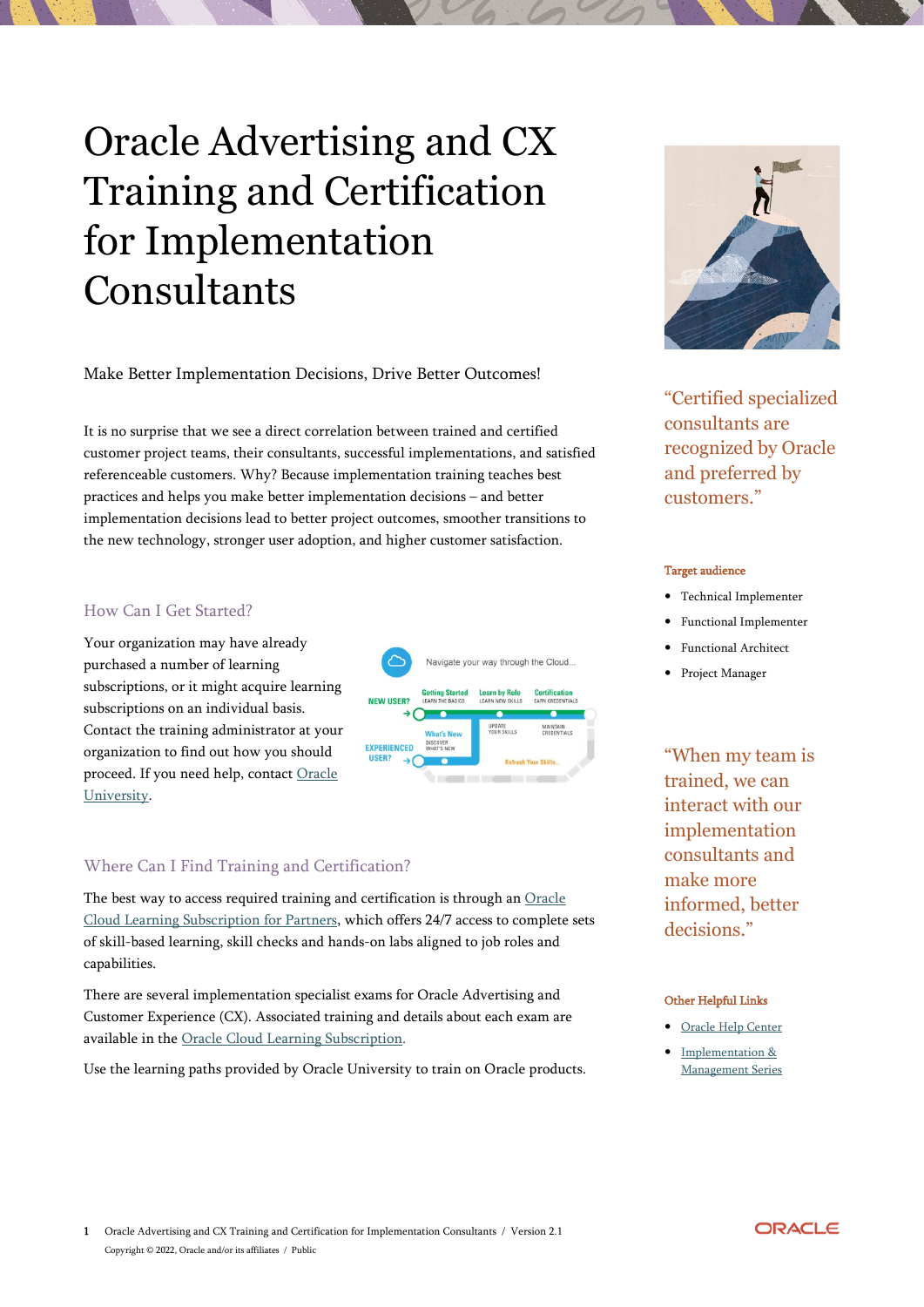# Oracle Advertising and CX Training and Certification for Implementation **Consultants**

Make Better Implementation Decisions, Drive Better Outcomes!

It is no surprise that we see a direct correlation between trained and certified customer project teams, their consultants, successful implementations, and satisfied referenceable customers. Why? Because implementation training teaches best practices and helps you make better implementation decisions – and better implementation decisions lead to better project outcomes, smoother transitions to the new technology, stronger user adoption, and higher customer satisfaction.

## How Can I Get Started?

Your organization may have already purchased a number of learning subscriptions, or it might acquire learning subscriptions on an individual basis. Contact the training administrator at your organization to find out how you should proceed. If you need help, contact [Oracle](https://education.oracle.com/OUcontactUs)  [University.](https://education.oracle.com/OUcontactUs)



# Where Can I Find Training and Certification?

The best way to access required training and certification is through an [Oracle](http://education.oracle.com/pls/web_prod-plq-dad/db_pages.getpage?page_id=985)  [Cloud Learning Subscription for Partners,](http://education.oracle.com/pls/web_prod-plq-dad/db_pages.getpage?page_id=985) which offers 24/7 access to complete sets of skill-based learning, skill checks and hands-on labs aligned to job roles and capabilities.

There are several implementation specialist exams for Oracle Advertising and Customer Experience (CX). Associated training and details about each exam are available in the [Oracle Cloud Learning Subscription.](https://education.oracle.com/oracle-cloud-learning-subscriptions) 

Use the learning paths provided by Oracle University to train on Oracle products.



"Certified specialized consultants are recognized by Oracle and preferred by customers."

#### Target audience

- Technical Implementer
- Functional Implementer
- Functional Architect
- Project Manager

"When my team is trained, we can interact with our implementation consultants and make more informed, better decisions."

#### Other Helpful Links

- [Oracle Help Center](https://docs.oracle.com/en/cloud/saas/index.html)
- [Implementation &](https://www.youtube.com/playlist?list=PLic2ApDtQSOek1R2daQjzRknZuwWvMn0f)  [Management Series](https://www.youtube.com/playlist?list=PLic2ApDtQSOek1R2daQjzRknZuwWvMn0f)

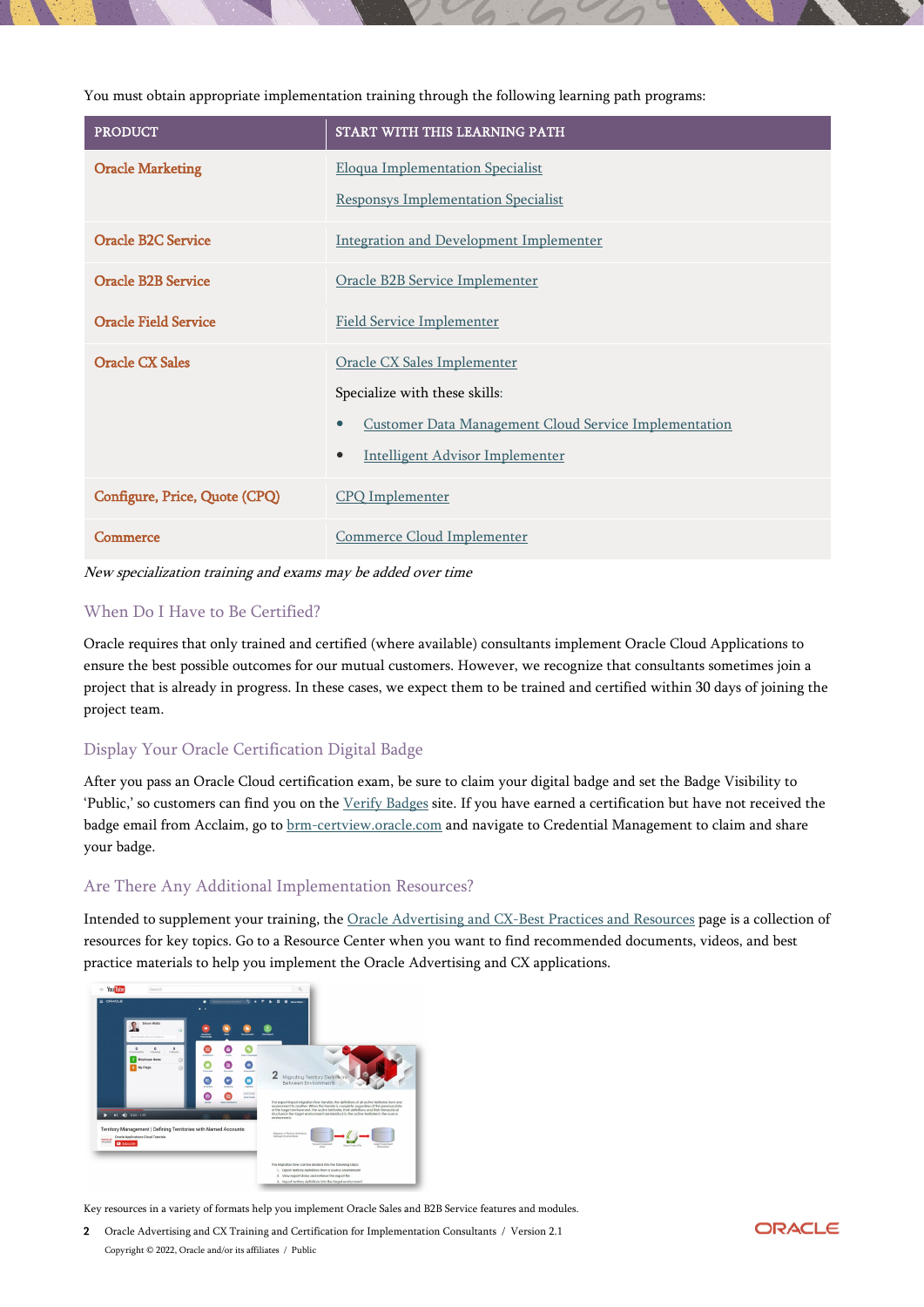You must obtain appropriate implementation training through the following learning path programs:

| <b>PRODUCT</b>                | START WITH THIS LEARNING PATH                                             |
|-------------------------------|---------------------------------------------------------------------------|
| <b>Oracle Marketing</b>       | <b>Eloqua Implementation Specialist</b>                                   |
|                               | <b>Responsys Implementation Specialist</b>                                |
| <b>Oracle B2C Service</b>     | <b>Integration and Development Implementer</b>                            |
| <b>Oracle B2B Service</b>     | Oracle B2B Service Implementer                                            |
| <b>Oracle Field Service</b>   | <b>Field Service Implementer</b>                                          |
| <b>Oracle CX Sales</b>        | Oracle CX Sales Implementer                                               |
|                               | Specialize with these skills:                                             |
|                               | <b>Customer Data Management Cloud Service Implementation</b><br>$\bullet$ |
|                               | Intelligent Advisor Implementer<br>$\bullet$                              |
| Configure, Price, Quote (CPQ) | <b>CPQ</b> Implementer                                                    |
| Commerce                      | Commerce Cloud Implementer                                                |

New specialization training and exams may be added over time

## When Do I Have to Be Certified?

Oracle requires that only trained and certified (where available) consultants implement Oracle Cloud Applications to ensure the best possible outcomes for our mutual customers. However, we recognize that consultants sometimes join a project that is already in progress. In these cases, we expect them to be trained and certified within 30 days of joining the project team.

## Display Your Oracle Certification Digital Badge

After you pass an Oracle Cloud certification exam, be sure to claim your digital badge and set the Badge Visibility to 'Public,' so customers can find you on the [Verify Badges](https://www.youracclaim.com/org/oracle/verify) site. If you have earned a certification but have not received the badge email from Acclaim, go t[o brm-certview.oracle.com](https://brm-certification.oracle.com/pls/apex/f?p=1111:1) and navigate to Credential Management to claim and share your badge.

### Are There Any Additional Implementation Resources?

Intended to supplement your training, the [Oracle Advertising and CX-Best Practices and Resources](https://www.oracle.com/cx/resources/) page is a collection of resources for key topics. Go to a Resource Center when you want to find recommended documents, videos, and best practice materials to help you implement the Oracle Advertising and CX applications.



Key resources in a variety of formats help you implement Oracle Sales and B2B Service features and modules.

2 Oracle Advertising and CX Training and Certification for Implementation Consultants / Version 2.1 Copyright © 2022, Oracle and/or its affiliates / Public